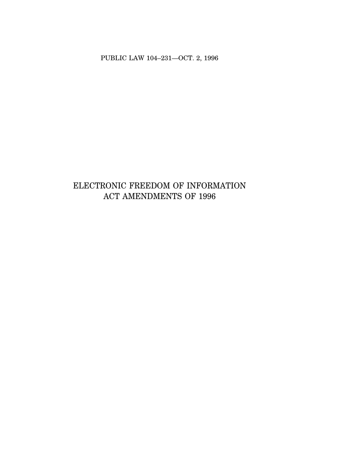PUBLIC LAW 104–231—OCT. 2, 1996

# ELECTRONIC FREEDOM OF INFORMATION ACT AMENDMENTS OF 1996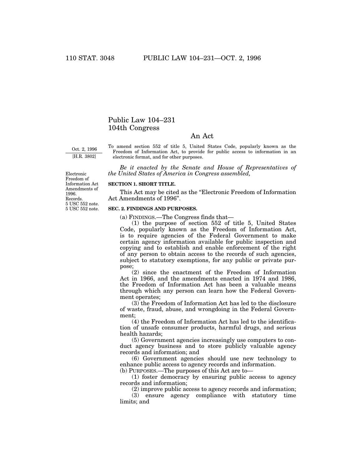# Public Law 104–231 104th Congress

# An Act

Oct. 2, 1996 [H.R. 3802]

To amend section 552 of title 5, United States Code, popularly known as the Freedom of Information Act, to provide for public access to information in an electronic format, and for other purposes.

*Be it enacted by the Senate and House of Representatives of the United States of America in Congress assembled,*

5 USC 552 note. Electronic Freedom of Information Act Amendments of 1996. Records. 5 USC 552 note.

#### **SECTION 1. SHORT TITLE.**

This Act may be cited as the ''Electronic Freedom of Information Act Amendments of 1996''.

#### **SEC. 2. FINDINGS AND PURPOSES.**

(a) FINDINGS.—The Congress finds that—

(1) the purpose of section 552 of title 5, United States Code, popularly known as the Freedom of Information Act, is to require agencies of the Federal Government to make certain agency information available for public inspection and copying and to establish and enable enforcement of the right of any person to obtain access to the records of such agencies, subject to statutory exemptions, for any public or private purpose;

(2) since the enactment of the Freedom of Information Act in 1966, and the amendments enacted in 1974 and 1986, the Freedom of Information Act has been a valuable means through which any person can learn how the Federal Government operates;

(3) the Freedom of Information Act has led to the disclosure of waste, fraud, abuse, and wrongdoing in the Federal Government;

(4) the Freedom of Information Act has led to the identification of unsafe consumer products, harmful drugs, and serious health hazards;

(5) Government agencies increasingly use computers to conduct agency business and to store publicly valuable agency records and information; and

(6) Government agencies should use new technology to enhance public access to agency records and information.

(b) PURPOSES.—The purposes of this Act are to—

(1) foster democracy by ensuring public access to agency records and information;

(2) improve public access to agency records and information;

(3) ensure agency compliance with statutory time limits; and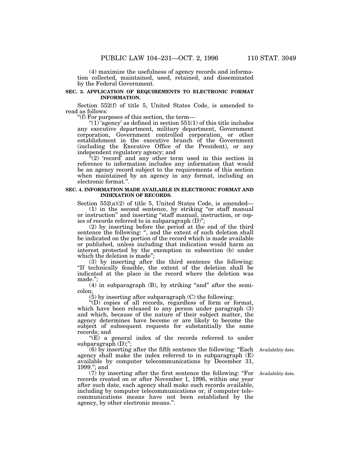(4) maximize the usefulness of agency records and information collected, maintained, used, retained, and disseminated by the Federal Government.

#### **SEC. 3. APPLICATION OF REQUIREMENTS TO ELECTRONIC FORMAT INFORMATION.**

Section 552(f) of title 5, United States Code, is amended to read as follows:

''(f) For purposes of this section, the term—

" $(1)$  'agency' as defined in section 551(1) of this title includes any executive department, military department, Government corporation, Government controlled corporation, or other establishment in the executive branch of the Government (including the Executive Office of the President), or any independent regulatory agency; and

 $f''(2)$  'record' and any other term used in this section in reference to information includes any information that would be an agency record subject to the requirements of this section when maintained by an agency in any format, including an electronic format.''.

#### **SEC. 4. INFORMATION MADE AVAILABLE IN ELECTRONIC FORMAT AND INDEXATION OF RECORDS.**

Section  $552(a)(2)$  of title 5, United States Code, is amended—

(1) in the second sentence, by striking ''or staff manual or instruction'' and inserting ''staff manual, instruction, or copies of records referred to in subparagraph (D)'';

(2) by inserting before the period at the end of the third sentence the following: ", and the extent of such deletion shall be indicated on the portion of the record which is made available or published, unless including that indication would harm an interest protected by the exemption in subsection (b) under which the deletion is made'';

(3) by inserting after the third sentence the following: ''If technically feasible, the extent of the deletion shall be indicated at the place in the record where the deletion was made.'';

 $(4)$  in subparagraph  $(B)$ , by striking "and" after the semicolon;

(5) by inserting after subparagraph (C) the following:

''(D) copies of all records, regardless of form or format, which have been released to any person under paragraph (3) and which, because of the nature of their subject matter, the agency determines have become or are likely to become the subject of subsequent requests for substantially the same records; and

 $E$ ) a general index of the records referred to under subparagraph  $(D)$ ;";

(6) by inserting after the fifth sentence the following: ''Each Availability date.agency shall make the index referred to in subparagraph (E) available by computer telecommunications by December 31, 1999."; and

(7) by inserting after the first sentence the following: ''For Availability date. records created on or after November 1, 1996, within one year after such date, each agency shall make such records available, including by computer telecommunications or, if computer telecommunications means have not been established by the agency, by other electronic means.''.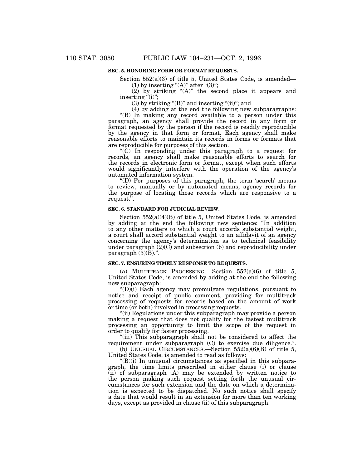## **SEC. 5. HONORING FORM OR FORMAT REQUESTS.**

Section  $552(a)(3)$  of title 5, United States Code, is amended— (1) by inserting " $(A)$ " after " $(3)$ ";

 $(2)$  by striking " $(A)$ " the second place it appears and inserting  $i(i)$ ";

 $(3)$  by striking " $(B)$ " and inserting " $(ii)$ "; and

(4) by adding at the end the following new subparagraphs: ''(B) In making any record available to a person under this paragraph, an agency shall provide the record in any form or format requested by the person if the record is readily reproducible by the agency in that form or format. Each agency shall make reasonable efforts to maintain its records in forms or formats that are reproducible for purposes of this section.

''(C) In responding under this paragraph to a request for records, an agency shall make reasonable efforts to search for the records in electronic form or format, except when such efforts would significantly interfere with the operation of the agency's automated information system.

''(D) For purposes of this paragraph, the term 'search' means to review, manually or by automated means, agency records for the purpose of locating those records which are responsive to a request.''.

#### **SEC. 6. STANDARD FOR JUDICIAL REVIEW.**

Section 552(a)(4)(B) of title 5, United States Code, is amended by adding at the end the following new sentence: ''In addition to any other matters to which a court accords substantial weight, a court shall accord substantial weight to an affidavit of an agency concerning the agency's determination as to technical feasibility under paragraph  $(2)(C)$  and subsection (b) and reproducibility under paragraph  $(3)(\dot{B})$ .".

#### **SEC. 7. ENSURING TIMELY RESPONSE TO REQUESTS.**

(a) MULTITRACK PROCESSING.—Section 552(a)(6) of title 5, United States Code, is amended by adding at the end the following new subparagraph:

''(D)(i) Each agency may promulgate regulations, pursuant to notice and receipt of public comment, providing for multitrack processing of requests for records based on the amount of work or time (or both) involved in processing requests.

''(ii) Regulations under this subparagraph may provide a person making a request that does not qualify for the fastest multitrack processing an opportunity to limit the scope of the request in order to qualify for faster processing.

''(iii) This subparagraph shall not be considered to affect the requirement under subparagraph (C) to exercise due diligence.".

(b) UNUSUAL CIRCUMSTANCES.—Section  $552(a)(6)(B)$  of title 5, United States Code, is amended to read as follows:

 $!(B)(i)$  In unusual circumstances as specified in this subparagraph, the time limits prescribed in either clause (i) or clause (ii) of subparagraph (A) may be extended by written notice to the person making such request setting forth the unusual circumstances for such extension and the date on which a determination is expected to be dispatched. No such notice shall specify a date that would result in an extension for more than ten working days, except as provided in clause (ii) of this subparagraph.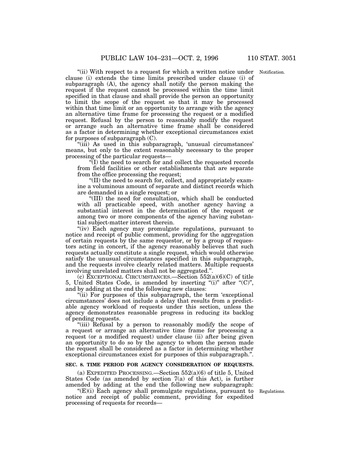Notification.

"(ii) With respect to a request for which a written notice under clause (i) extends the time limits prescribed under clause (i) of subparagraph (A), the agency shall notify the person making the request if the request cannot be processed within the time limit specified in that clause and shall provide the person an opportunity to limit the scope of the request so that it may be processed within that time limit or an opportunity to arrange with the agency an alternative time frame for processing the request or a modified request. Refusal by the person to reasonably modify the request or arrange such an alternative time frame shall be considered as a factor in determining whether exceptional circumstances exist for purposes of subparagraph (C).

"(iii) As used in this subparagraph, 'unusual circumstances' means, but only to the extent reasonably necessary to the proper processing of the particular requests—

 $\sqrt{\text{I}}$ ) the need to search for and collect the requested records from field facilities or other establishments that are separate from the office processing the request;

''(II) the need to search for, collect, and appropriately examine a voluminous amount of separate and distinct records which are demanded in a single request; or

''(III) the need for consultation, which shall be conducted with all practicable speed, with another agency having a substantial interest in the determination of the request or among two or more components of the agency having substantial subject-matter interest therein.

"(iv) Each agency may promulgate regulations, pursuant to notice and receipt of public comment, providing for the aggregation of certain requests by the same requestor, or by a group of requestors acting in concert, if the agency reasonably believes that such requests actually constitute a single request, which would otherwise satisfy the unusual circumstances specified in this subparagraph, and the requests involve clearly related matters. Multiple requests involving unrelated matters shall not be aggregated."

(c) EXCEPTIONAL CIRCUMSTANCES.—Section  $552(a)(6)(C)$  of title 5, United States Code, is amended by inserting " $(i)$ " after " $(C)$ ", and by adding at the end the following new clauses:

"(ii) For purposes of this subparagraph, the term 'exceptional circumstances' does not include a delay that results from a predictable agency workload of requests under this section, unless the agency demonstrates reasonable progress in reducing its backlog of pending requests.

"(iii) Refusal by a person to reasonably modify the scope of a request or arrange an alternative time frame for processing a request (or a modified request) under clause (ii) after being given an opportunity to do so by the agency to whom the person made the request shall be considered as a factor in determining whether exceptional circumstances exist for purposes of this subparagraph.''.

#### **SEC. 8. TIME PERIOD FOR AGENCY CONSIDERATION OF REQUESTS.**

(a) EXPEDITED PROCESSING.—Section  $552(a)(6)$  of title 5, United States Code (as amended by section 7(a) of this Act), is further amended by adding at the end the following new subparagraph:

 $E(E)$ (i) Each agency shall promulgate regulations, pursuant to notice and receipt of public comment, providing for expedited processing of requests for records—

Regulations.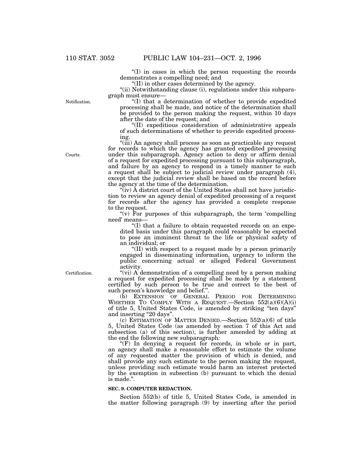''(I) in cases in which the person requesting the records demonstrates a compelling need; and

''(II) in other cases determined by the agency.

''(ii) Notwithstanding clause (i), regulations under this subparagraph must ensure—

''(I) that a determination of whether to provide expedited processing shall be made, and notice of the determination shall be provided to the person making the request, within 10 days after the date of the request; and

''(II) expeditious consideration of administrative appeals of such determinations of whether to provide expedited processing.

"(iii) An agency shall process as soon as practicable any request for records to which the agency has granted expedited processing under this subparagraph. Agency action to deny or affirm denial of a request for expedited processing pursuant to this subparagraph, and failure by an agency to respond in a timely manner to such a request shall be subject to judicial review under paragraph (4), except that the judicial review shall be based on the record before the agency at the time of the determination.

''(iv) A district court of the United States shall not have jurisdiction to review an agency denial of expedited processing of a request for records after the agency has provided a complete response to the request.

" $(v)$  For purposes of this subparagraph, the term 'compelling" need' means—

''(I) that a failure to obtain requested records on an expedited basis under this paragraph could reasonably be expected to pose an imminent threat to the life or physical safety of an individual; or

''(II) with respect to a request made by a person primarily engaged in disseminating information, urgency to inform the public concerning actual or alleged Federal Government activity.

"(vi) A demonstration of a compelling need by a person making a request for expedited processing shall be made by a statement certified by such person to be true and correct to the best of such person's knowledge and belief.''.

(b) EXTENSION OF GENERAL PERIOD FOR DETERMINING WHETHER TO COMPLY WITH A REQUEST.—Section 552(a)(6)(A)(i) of title 5, United States Code, is amended by striking ''ten days'' and inserting "20 days".

(c) ESTIMATION OF MATTER DENIED.—Section 552(a)(6) of title 5, United States Code (as amended by section 7 of this Act and subsection (a) of this section), is further amended by adding at the end the following new subparagraph:

"(F) In denying a request for records, in whole or in part, an agency shall make a reasonable effort to estimate the volume of any requested matter the provision of which is denied, and shall provide any such estimate to the person making the request, unless providing such estimate would harm an interest protected by the exemption in subsection (b) pursuant to which the denial is made.''.

#### **SEC. 9. COMPUTER REDACTION.**

Section 552(b) of title 5, United States Code, is amended in the matter following paragraph (9) by inserting after the period

Certification.

**Notification** 

Courts.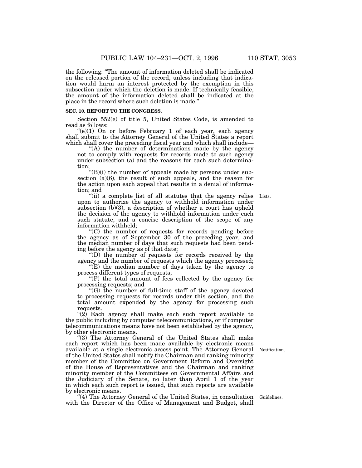the following: ''The amount of information deleted shall be indicated on the released portion of the record, unless including that indication would harm an interest protected by the exemption in this subsection under which the deletion is made. If technically feasible, the amount of the information deleted shall be indicated at the place in the record where such deletion is made.''.

## **SEC. 10. REPORT TO THE CONGRESS.**

Section 552(e) of title 5, United States Code, is amended to read as follows:

 $(e)(1)$  On or before February 1 of each year, each agency shall submit to the Attorney General of the United States a report which shall cover the preceding fiscal year and which shall include—

"(A) the number of determinations made by the agency not to comply with requests for records made to such agency under subsection (a) and the reasons for each such determination;

"(B)(i) the number of appeals made by persons under subsection  $(a)(6)$ , the result of such appeals, and the reason for the action upon each appeal that results in a denial of information; and

"(ii) a complete list of all statutes that the agency relies Lists. upon to authorize the agency to withhold information under subsection (b)(3), a description of whether a court has upheld the decision of the agency to withhold information under each such statute, and a concise description of the scope of any information withheld;

''(C) the number of requests for records pending before the agency as of September 30 of the preceding year, and the median number of days that such requests had been pending before the agency as of that date;

''(D) the number of requests for records received by the agency and the number of requests which the agency processed;

" $(E)$  the median number of days taken by the agency to process different types of requests;

 $f(F)$  the total amount of fees collected by the agency for processing requests; and

''(G) the number of full-time staff of the agency devoted to processing requests for records under this section, and the total amount expended by the agency for processing such requests.

" $(2)$  Each agency shall make each such report available to the public including by computer telecommunications, or if computer telecommunications means have not been established by the agency, by other electronic means.

''(3) The Attorney General of the United States shall make each report which has been made available by electronic means available at a single electronic access point. The Attorney General of the United States shall notify the Chairman and ranking minority member of the Committee on Government Reform and Oversight of the House of Representatives and the Chairman and ranking minority member of the Committees on Governmental Affairs and the Judiciary of the Senate, no later than April 1 of the year in which each such report is issued, that such reports are available by electronic means.

"(4) The Attorney General of the United States, in consultation with the Director of the Office of Management and Budget, shall

Notification.

Guidelines.